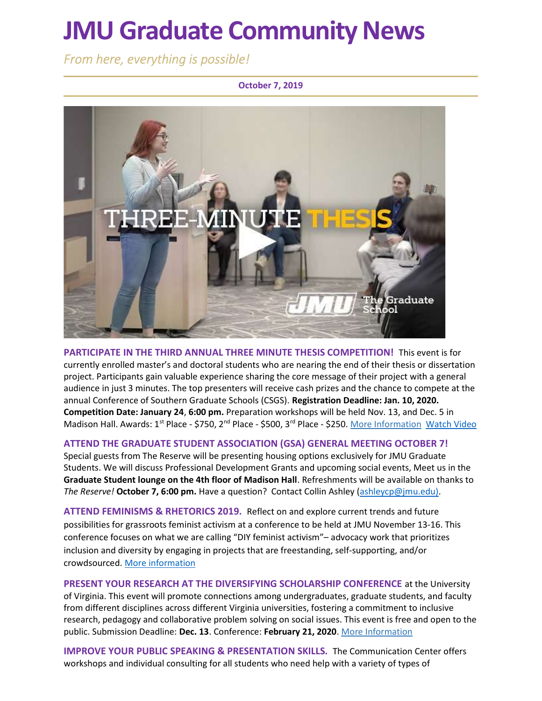# JMU Graduate Community News

From here, everything is possible!

#### October 7, 2019



PARTICIPATE IN THE THIRD ANNUAL THREE MINUTE THESIS COMPETITION! This event is for currently enrolled master's and doctoral students who are nearing the end of their thesis or dissertation project. Participants gain valuable experience sharing the core message of their project with a general audience in just 3 minutes. The top presenters will receive cash prizes and the chance to compete at the annual Conference of Southern Graduate Schools (CSGS). Registration Deadline: Jan. 10, 2020. Competition Date: January 24, 6:00 pm. Preparation workshops will be held Nov. 13, and Dec. 5 in Madison Hall. Awards: 1<sup>st</sup> Place - \$750, 2<sup>nd</sup> Place - \$500, 3<sup>rd</sup> Place - \$250. More Information Watch Video

### ATTEND THE GRADUATE STUDENT ASSOCIATION (GSA) GENERAL MEETING OCTOBER 7!

Special guests from The Reserve will be presenting housing options exclusively for JMU Graduate Students. We will discuss Professional Development Grants and upcoming social events, Meet us in the Graduate Student lounge on the 4th floor of Madison Hall. Refreshments will be available on thanks to The Reserve! October 7, 6:00 pm. Have a question? Contact Collin Ashley (ashleycp@jmu.edu).

ATTEND FEMINISMS & RHETORICS 2019. Reflect on and explore current trends and future possibilities for grassroots feminist activism at a conference to be held at JMU November 13-16. This conference focuses on what we are calling "DIY feminist activism"– advocacy work that prioritizes inclusion and diversity by engaging in projects that are freestanding, self-supporting, and/or crowdsourced. More information

PRESENT YOUR RESEARCH AT THE DIVERSIFYING SCHOLARSHIP CONFERENCE at the University of Virginia. This event will promote connections among undergraduates, graduate students, and faculty from different disciplines across different Virginia universities, fostering a commitment to inclusive research, pedagogy and collaborative problem solving on social issues. This event is free and open to the public. Submission Deadline: Dec. 13. Conference: February 21, 2020. More Information

IMPROVE YOUR PUBLIC SPEAKING & PRESENTATION SKILLS. The Communication Center offers workshops and individual consulting for all students who need help with a variety of types of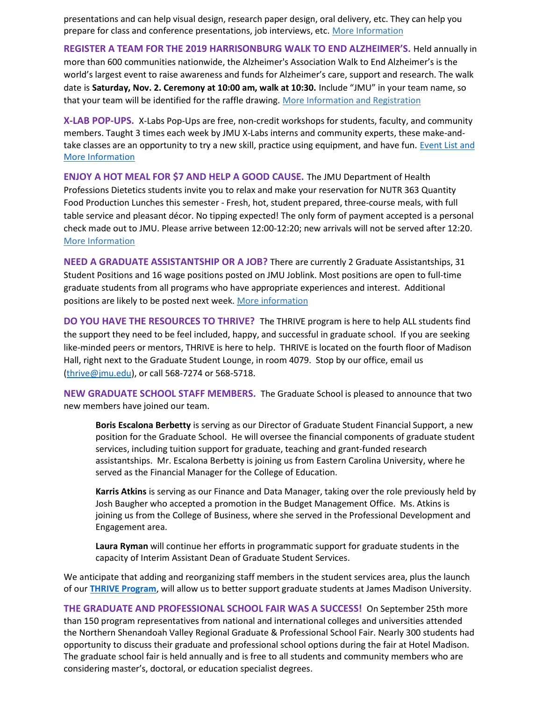presentations and can help visual design, research paper design, oral delivery, etc. They can help you prepare for class and conference presentations, job interviews, etc. More Information

REGISTER A TEAM FOR THE 2019 HARRISONBURG WALK TO END ALZHEIMER'S. Held annually in more than 600 communities nationwide, the Alzheimer's Association Walk to End Alzheimer's is the world's largest event to raise awareness and funds for Alzheimer's care, support and research. The walk date is Saturday, Nov. 2. Ceremony at 10:00 am, walk at 10:30. Include "JMU" in your team name, so that your team will be identified for the raffle drawing. More Information and Registration

X-LAB POP-UPS. X-Labs Pop-Ups are free, non-credit workshops for students, faculty, and community members. Taught 3 times each week by JMU X-Labs interns and community experts, these make-andtake classes are an opportunity to try a new skill, practice using equipment, and have fun. Event List and More Information

ENJOY A HOT MEAL FOR \$7 AND HELP A GOOD CAUSE. The JMU Department of Health Professions Dietetics students invite you to relax and make your reservation for NUTR 363 Quantity Food Production Lunches this semester - Fresh, hot, student prepared, three-course meals, with full table service and pleasant décor. No tipping expected! The only form of payment accepted is a personal check made out to JMU. Please arrive between 12:00-12:20; new arrivals will not be served after 12:20. More Information

NEED A GRADUATE ASSISTANTSHIP OR A JOB? There are currently 2 Graduate Assistantships, 31 Student Positions and 16 wage positions posted on JMU Joblink. Most positions are open to full-time graduate students from all programs who have appropriate experiences and interest. Additional positions are likely to be posted next week. More information

DO YOU HAVE THE RESOURCES TO THRIVE? The THRIVE program is here to help ALL students find the support they need to be feel included, happy, and successful in graduate school. If you are seeking like-minded peers or mentors, THRIVE is here to help. THRIVE is located on the fourth floor of Madison Hall, right next to the Graduate Student Lounge, in room 4079. Stop by our office, email us (thrive@jmu.edu), or call 568-7274 or 568-5718.

NEW GRADUATE SCHOOL STAFF MEMBERS. The Graduate School is pleased to announce that two new members have joined our team.

Boris Escalona Berbetty is serving as our Director of Graduate Student Financial Support, a new position for the Graduate School. He will oversee the financial components of graduate student services, including tuition support for graduate, teaching and grant-funded research assistantships. Mr. Escalona Berbetty is joining us from Eastern Carolina University, where he served as the Financial Manager for the College of Education.

Karris Atkins is serving as our Finance and Data Manager, taking over the role previously held by Josh Baugher who accepted a promotion in the Budget Management Office. Ms. Atkins is joining us from the College of Business, where she served in the Professional Development and Engagement area.

Laura Ryman will continue her efforts in programmatic support for graduate students in the capacity of Interim Assistant Dean of Graduate Student Services.

We anticipate that adding and reorganizing staff members in the student services area, plus the launch of our **THRIVE Program**, will allow us to better support graduate students at James Madison University.

THE GRADUATE AND PROFESSIONAL SCHOOL FAIR WAS A SUCCESS! On September 25th more than 150 program representatives from national and international colleges and universities attended the Northern Shenandoah Valley Regional Graduate & Professional School Fair. Nearly 300 students had opportunity to discuss their graduate and professional school options during the fair at Hotel Madison. The graduate school fair is held annually and is free to all students and community members who are considering master's, doctoral, or education specialist degrees.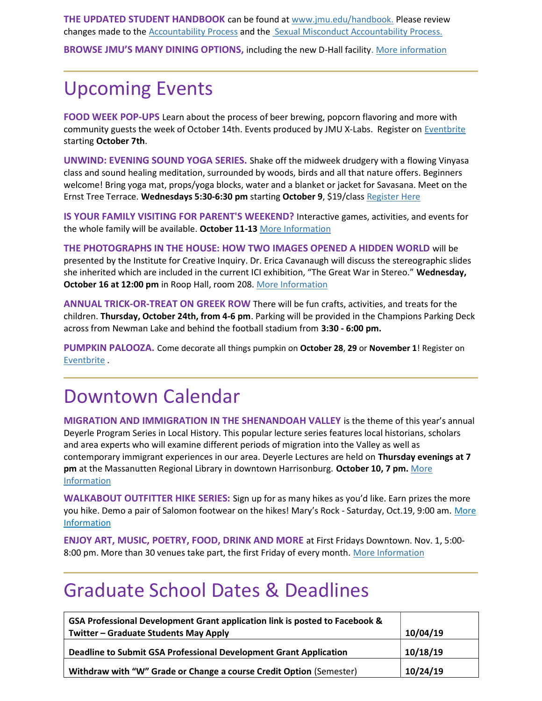THE UPDATED STUDENT HANDBOOK can be found at www.jmu.edu/handbook. Please review changes made to the **Accountability Process** and the **Sexual Misconduct Accountability Process**.

BROWSE JMU'S MANY DINING OPTIONS, including the new D-Hall facility. More information

## Upcoming Events

FOOD WEEK POP-UPS Learn about the process of beer brewing, popcorn flavoring and more with community guests the week of October 14th. Events produced by JMU X-Labs. Register on Eventbrite starting October 7th.

UNWIND: EVENING SOUND YOGA SERIES. Shake off the midweek drudgery with a flowing Vinyasa class and sound healing meditation, surrounded by woods, birds and all that nature offers. Beginners welcome! Bring yoga mat, props/yoga blocks, water and a blanket or jacket for Savasana. Meet on the Ernst Tree Terrace. Wednesdays 5:30-6:30 pm starting October 9, \$19/class Register Here

IS YOUR FAMILY VISITING FOR PARENT'S WEEKEND? Interactive games, activities, and events for the whole family will be available. October 11-13 More Information

THE PHOTOGRAPHS IN THE HOUSE: HOW TWO IMAGES OPENED A HIDDEN WORLD will be presented by the Institute for Creative Inquiry. Dr. Erica Cavanaugh will discuss the stereographic slides she inherited which are included in the current ICI exhibition, "The Great War in Stereo." Wednesday, October 16 at 12:00 pm in Roop Hall, room 208. More Information

ANNUAL TRICK-OR-TREAT ON GREEK ROW There will be fun crafts, activities, and treats for the children. Thursday, October 24th, from 4-6 pm. Parking will be provided in the Champions Parking Deck across from Newman Lake and behind the football stadium from 3:30 - 6:00 pm.

PUMPKIN PALOOZA. Come decorate all things pumpkin on October 28, 29 or November 1! Register on Eventbrite .

### Downtown Calendar

MIGRATION AND IMMIGRATION IN THE SHENANDOAH VALLEY is the theme of this year's annual Deyerle Program Series in Local History. This popular lecture series features local historians, scholars and area experts who will examine different periods of migration into the Valley as well as contemporary immigrant experiences in our area. Deyerle Lectures are held on Thursday evenings at 7 pm at the Massanutten Regional Library in downtown Harrisonburg. October 10, 7 pm. More Information

WALKABOUT OUTFITTER HIKE SERIES: Sign up for as many hikes as you'd like. Earn prizes the more you hike. Demo a pair of Salomon footwear on the hikes! Mary's Rock - Saturday, Oct.19, 9:00 am. More Information

ENJOY ART, MUSIC, POETRY, FOOD, DRINK AND MORE at First Fridays Downtown. Nov. 1, 5:00- 8:00 pm. More than 30 venues take part, the first Friday of every month. More Information

### Graduate School Dates & Deadlines

| GSA Professional Development Grant application link is posted to Facebook & |          |
|-----------------------------------------------------------------------------|----------|
| Twitter – Graduate Students May Apply                                       | 10/04/19 |
| Deadline to Submit GSA Professional Development Grant Application           | 10/18/19 |
| Withdraw with "W" Grade or Change a course Credit Option (Semester)         | 10/24/19 |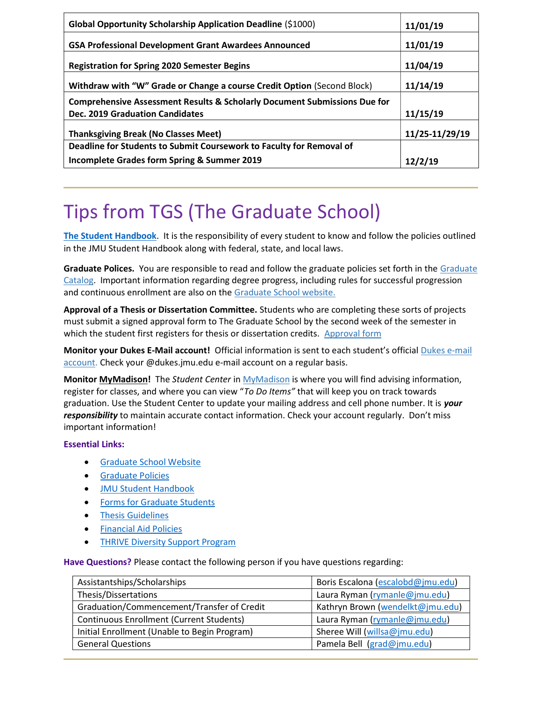| Global Opportunity Scholarship Application Deadline (\$1000)                         | 11/01/19       |
|--------------------------------------------------------------------------------------|----------------|
| <b>GSA Professional Development Grant Awardees Announced</b>                         | 11/01/19       |
| <b>Registration for Spring 2020 Semester Begins</b>                                  | 11/04/19       |
| Withdraw with "W" Grade or Change a course Credit Option (Second Block)              | 11/14/19       |
| <b>Comprehensive Assessment Results &amp; Scholarly Document Submissions Due for</b> |                |
| <b>Dec. 2019 Graduation Candidates</b>                                               | 11/15/19       |
| <b>Thanksgiving Break (No Classes Meet)</b>                                          | 11/25-11/29/19 |
| Deadline for Students to Submit Coursework to Faculty for Removal of                 |                |
| Incomplete Grades form Spring & Summer 2019                                          | 12/2/19        |

# Tips from TGS (The Graduate School)

The Student Handbook. It is the responsibility of every student to know and follow the policies outlined in the JMU Student Handbook along with federal, state, and local laws.

Graduate Polices. You are responsible to read and follow the graduate policies set forth in the Graduate Catalog. Important information regarding degree progress, including rules for successful progression and continuous enrollment are also on the Graduate School website.

Approval of a Thesis or Dissertation Committee. Students who are completing these sorts of projects must submit a signed approval form to The Graduate School by the second week of the semester in which the student first registers for thesis or dissertation credits. Approval form

Monitor your Dukes E-Mail account! Official information is sent to each student's official Dukes e-mail account. Check your @dukes.jmu.edu e-mail account on a regular basis.

Monitor MyMadison! The Student Center in MyMadison is where you will find advising information, register for classes, and where you can view "To Do Items" that will keep you on track towards graduation. Use the Student Center to update your mailing address and cell phone number. It is your responsibility to maintain accurate contact information. Check your account regularly. Don't miss important information!

### Essential Links:

- Graduate School Website
- **•** Graduate Policies
- JMU Student Handbook
- Forms for Graduate Students
- **•** Thesis Guidelines
- **•** Financial Aid Policies
- THRIVE Diversity Support Program

Have Questions? Please contact the following person if you have questions regarding:

| Assistantships/Scholarships                     | Boris Escalona (escalobd@jmu.edu) |
|-------------------------------------------------|-----------------------------------|
| Thesis/Dissertations                            | Laura Ryman (rymanle@jmu.edu)     |
| Graduation/Commencement/Transfer of Credit      | Kathryn Brown (wendelkt@jmu.edu)  |
| <b>Continuous Enrollment (Current Students)</b> | Laura Ryman (rymanle@jmu.edu)     |
| Initial Enrollment (Unable to Begin Program)    | Sheree Will (willsa@jmu.edu)      |
| <b>General Questions</b>                        | Pamela Bell (grad@jmu.edu)        |